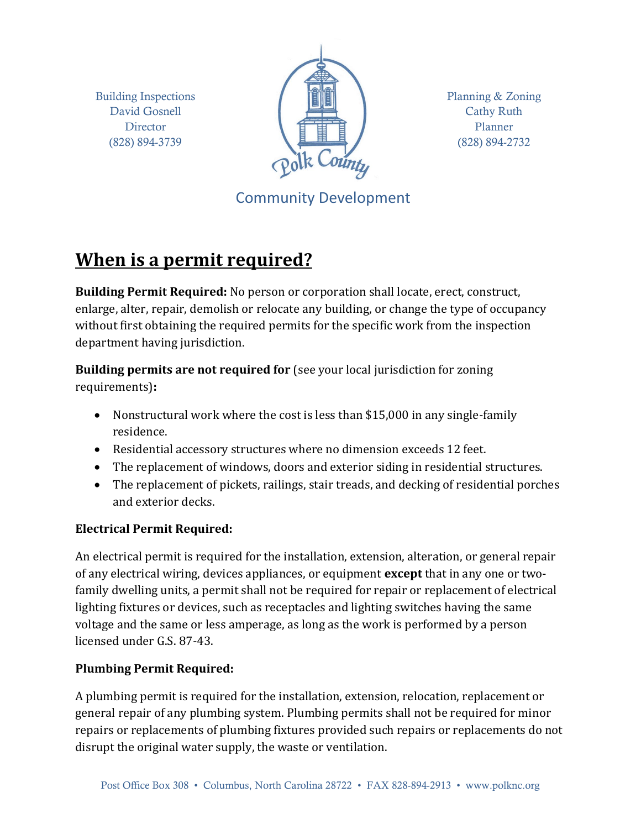Building Inspections David Gosnell **Director** (828) 894-3739



Planning & Zoning Cathy Ruth Planner (828) 894-2732

Community Development

# **When is a permit required?**

**Building Permit Required:** No person or corporation shall locate, erect, construct, enlarge, alter, repair, demolish or relocate any building, or change the type of occupancy without first obtaining the required permits for the specific work from the inspection department having jurisdiction.

**Building permits are not required for** (see your local jurisdiction for zoning requirements)**:**

- Nonstructural work where the cost is less than \$15,000 in any single-family residence.
- Residential accessory structures where no dimension exceeds 12 feet.
- The replacement of windows, doors and exterior siding in residential structures.
- The replacement of pickets, railings, stair treads, and decking of residential porches and exterior decks.

## **Electrical Permit Required:**

An electrical permit is required for the installation, extension, alteration, or general repair of any electrical wiring, devices appliances, or equipment **except** that in any one or twofamily dwelling units, a permit shall not be required for repair or replacement of electrical lighting fixtures or devices, such as receptacles and lighting switches having the same voltage and the same or less amperage, as long as the work is performed by a person licensed under G.S. 87-43.

### **Plumbing Permit Required:**

A plumbing permit is required for the installation, extension, relocation, replacement or general repair of any plumbing system. Plumbing permits shall not be required for minor repairs or replacements of plumbing fixtures provided such repairs or replacements do not disrupt the original water supply, the waste or ventilation.